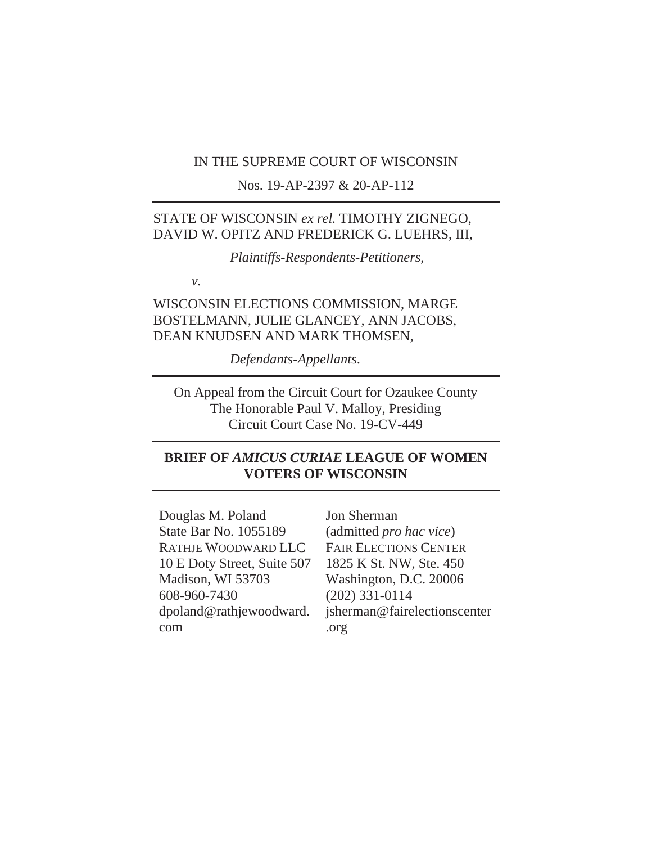### IN THE SUPREME COURT OF WISCONSIN

Nos. 19-AP-2397 & 20-AP-112

## STATE OF WISCONSIN *ex rel.* TIMOTHY ZIGNEGO, DAVID W. OPITZ AND FREDERICK G. LUEHRS, III,

*Plaintiffs-Respondents-Petitioners*,

*v.*

WISCONSIN ELECTIONS COMMISSION, MARGE BOSTELMANN, JULIE GLANCEY, ANN JACOBS, DEAN KNUDSEN AND MARK THOMSEN,

*Defendants-Appellants*.

On Appeal from the Circuit Court for Ozaukee County The Honorable Paul V. Malloy, Presiding Circuit Court Case No. 19-CV-449

## **BRIEF OF** *AMICUS CURIAE* **LEAGUE OF WOMEN VOTERS OF WISCONSIN**

Douglas M. Poland State Bar No. 1055189 RATHJE WOODWARD LLC 10 E Doty Street, Suite 507 Madison, WI 53703 608-960-7430 dpoland@rathjewoodward. com

Jon Sherman (admitted *pro hac vice*) FAIR ELECTIONS CENTER 1825 K St. NW, Ste. 450 Washington, D.C. 20006 (202) 331-0114 jsherman@fairelectionscenter .org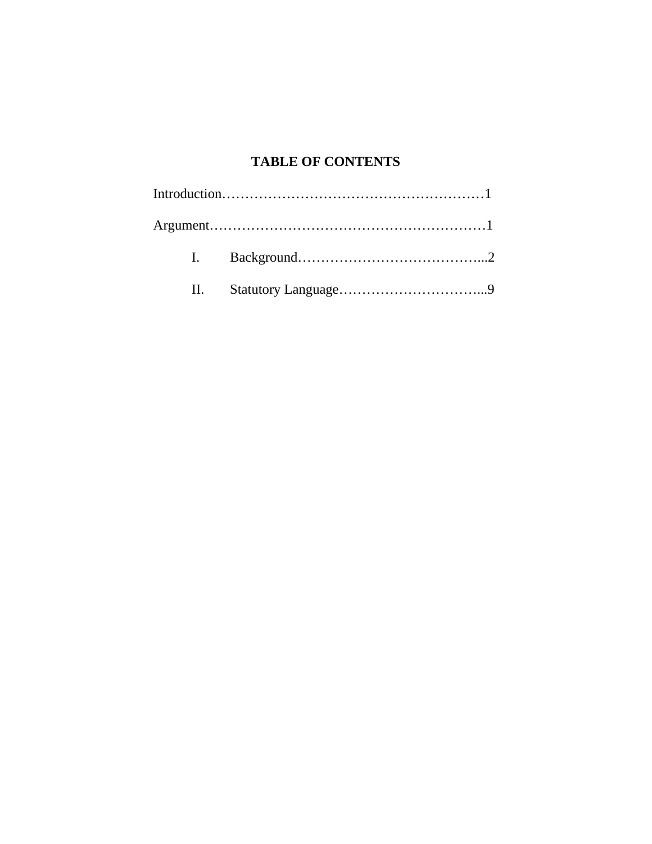# **TABLE OF CONTENTS**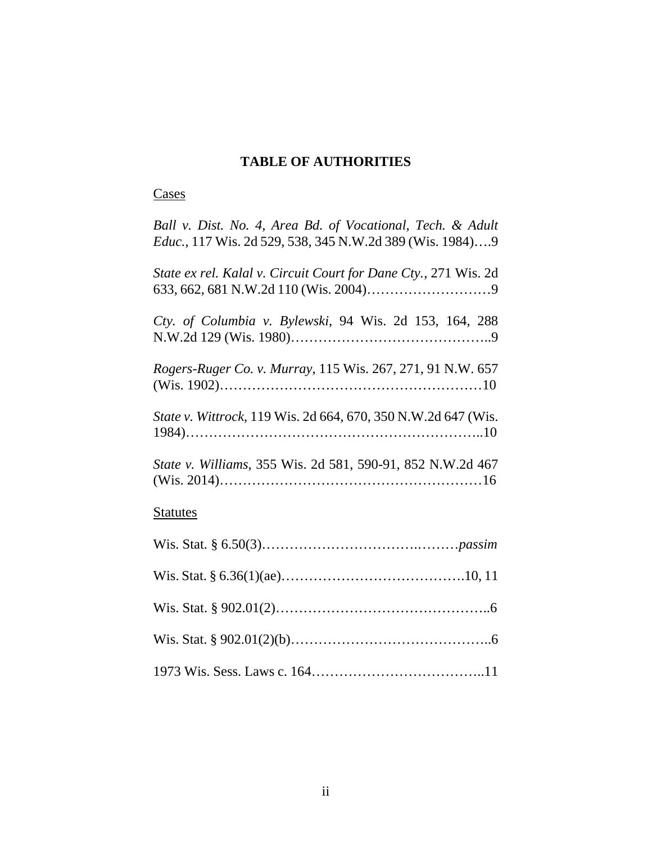## **TABLE OF AUTHORITIES**

## **Cases**

| Ball v. Dist. No. 4, Area Bd. of Vocational, Tech. & Adult<br><i>Educ.</i> , 117 Wis. 2d 529, 538, 345 N.W.2d 389 (Wis. 1984)9 |
|--------------------------------------------------------------------------------------------------------------------------------|
| State ex rel. Kalal v. Circuit Court for Dane Cty., 271 Wis. 2d                                                                |
| Cty. of Columbia v. Bylewski, 94 Wis. 2d 153, 164, 288                                                                         |
| Rogers-Ruger Co. v. Murray, 115 Wis. 267, 271, 91 N.W. 657                                                                     |
| State v. Wittrock, 119 Wis. 2d 664, 670, 350 N.W.2d 647 (Wis.                                                                  |
| State v. Williams, 355 Wis. 2d 581, 590-91, 852 N.W.2d 467                                                                     |
| <b>Statutes</b>                                                                                                                |
|                                                                                                                                |
|                                                                                                                                |
|                                                                                                                                |
|                                                                                                                                |
|                                                                                                                                |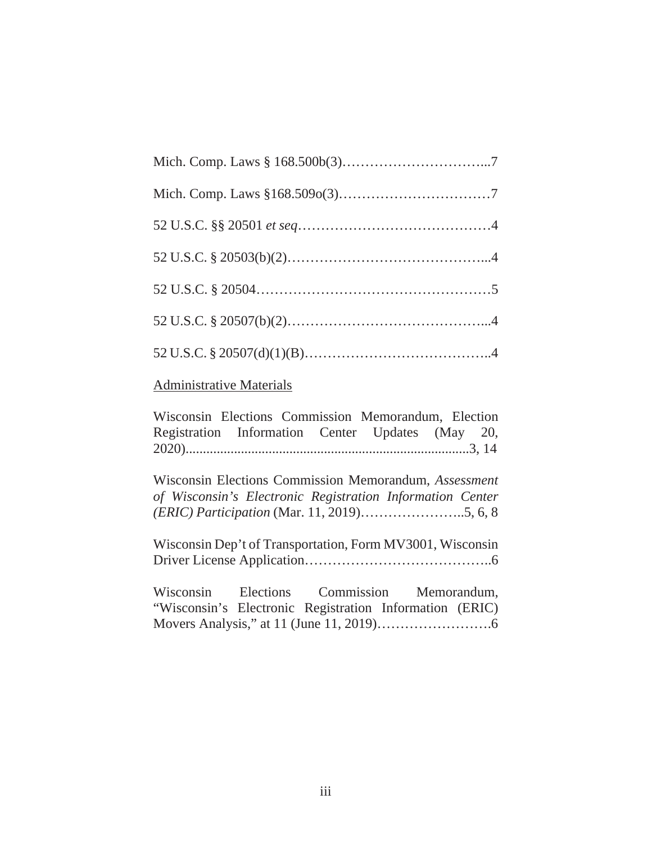## Administrative Materials

Wisconsin Elections Commission Memorandum, Election Registration Information Center Updates (May 20, 2020)..................................................................................3, 14

Wisconsin Elections Commission Memorandum, *Assessment of Wisconsin's Electronic Registration Information Center (ERIC) Participation* (Mar. 11, 2019)…………………..5, 6, 8

Wisconsin Dep't of Transportation, Form MV3001, Wisconsin Driver License Application…………………………………..6

| Wisconsin Elections Commission Memorandum,              |  |  |
|---------------------------------------------------------|--|--|
| "Wisconsin's Electronic Registration Information (ERIC) |  |  |
|                                                         |  |  |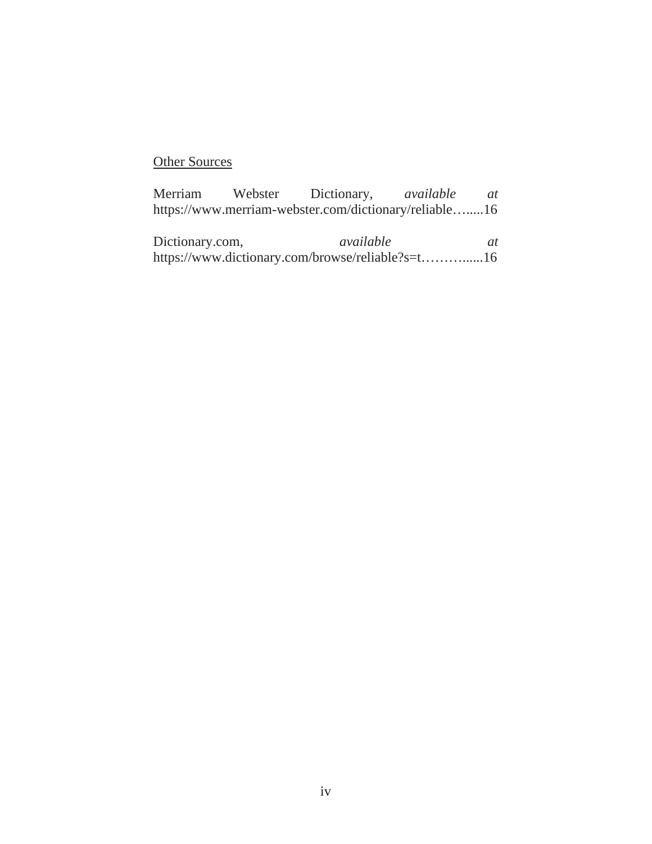# **Other Sources**

|  | Merriam Webster Dictionary, <i>available at</i>       |  |
|--|-------------------------------------------------------|--|
|  | https://www.merriam-webster.com/dictionary/reliable16 |  |
|  |                                                       |  |

Dictionary.com, *available at* https://www.dictionary.com/browse/reliable?s=t………......16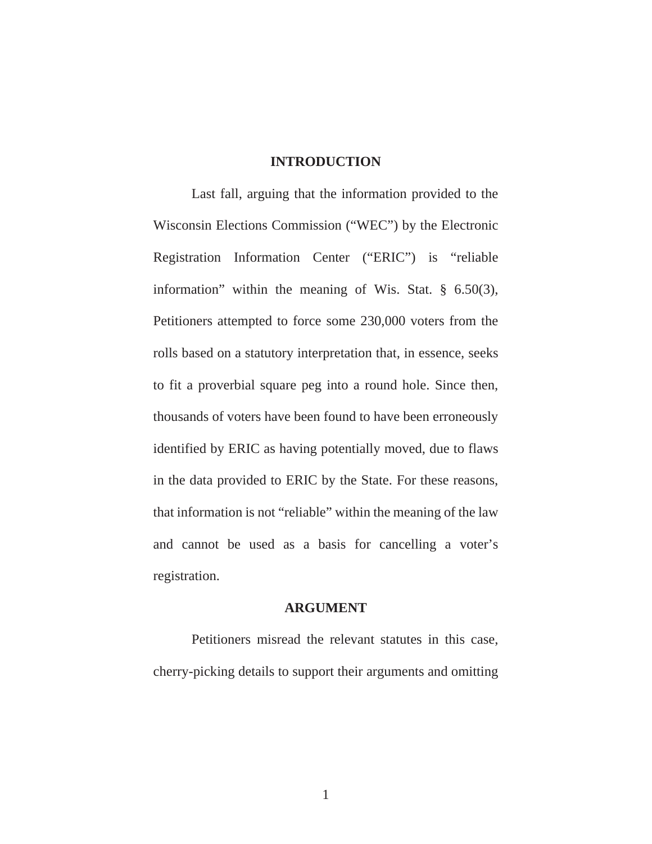### **INTRODUCTION**

 Last fall, arguing that the information provided to the Wisconsin Elections Commission ("WEC") by the Electronic Registration Information Center ("ERIC") is "reliable information" within the meaning of Wis. Stat. § 6.50(3), Petitioners attempted to force some 230,000 voters from the rolls based on a statutory interpretation that, in essence, seeks to fit a proverbial square peg into a round hole. Since then, thousands of voters have been found to have been erroneously identified by ERIC as having potentially moved, due to flaws in the data provided to ERIC by the State. For these reasons, that information is not "reliable" within the meaning of the law and cannot be used as a basis for cancelling a voter's registration.

#### **ARGUMENT**

Petitioners misread the relevant statutes in this case, cherry-picking details to support their arguments and omitting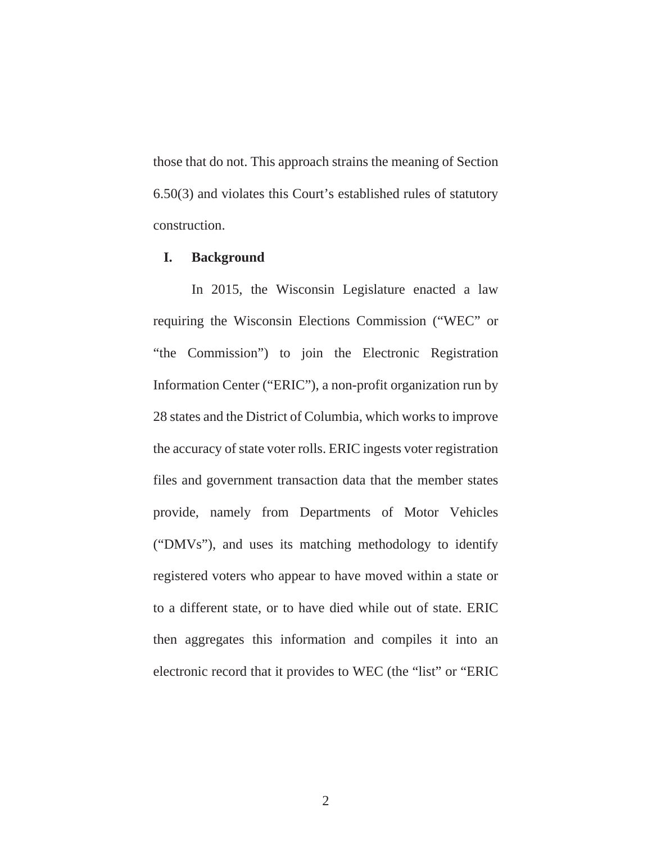those that do not. This approach strains the meaning of Section 6.50(3) and violates this Court's established rules of statutory construction.

### **I. Background**

In 2015, the Wisconsin Legislature enacted a law requiring the Wisconsin Elections Commission ("WEC" or "the Commission") to join the Electronic Registration Information Center ("ERIC"), a non-profit organization run by 28 states and the District of Columbia, which works to improve the accuracy of state voter rolls. ERIC ingests voter registration files and government transaction data that the member states provide, namely from Departments of Motor Vehicles ("DMVs"), and uses its matching methodology to identify registered voters who appear to have moved within a state or to a different state, or to have died while out of state. ERIC then aggregates this information and compiles it into an electronic record that it provides to WEC (the "list" or "ERIC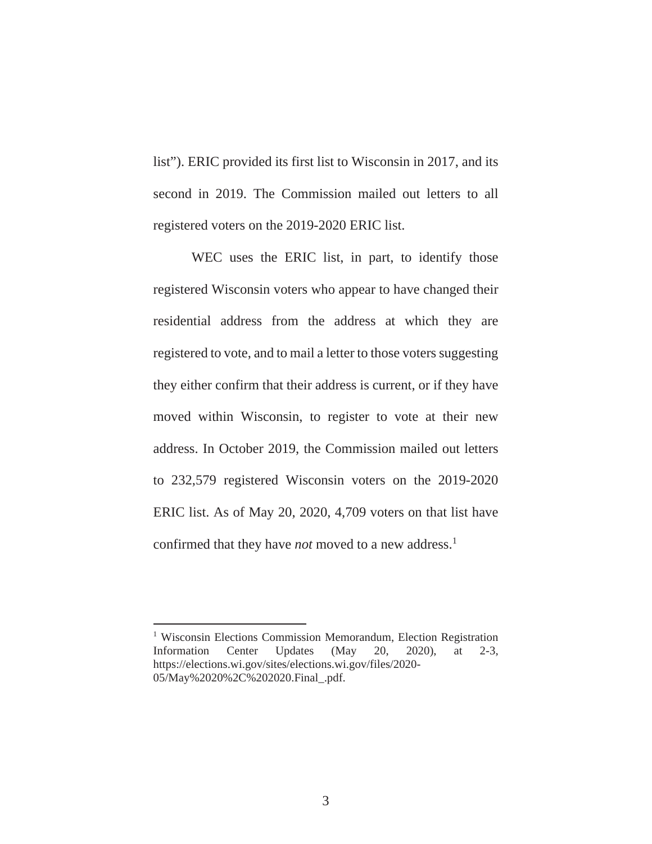list"). ERIC provided its first list to Wisconsin in 2017, and its second in 2019. The Commission mailed out letters to all registered voters on the 2019-2020 ERIC list.

WEC uses the ERIC list, in part, to identify those registered Wisconsin voters who appear to have changed their residential address from the address at which they are registered to vote, and to mail a letter to those voters suggesting they either confirm that their address is current, or if they have moved within Wisconsin, to register to vote at their new address. In October 2019, the Commission mailed out letters to 232,579 registered Wisconsin voters on the 2019-2020 ERIC list. As of May 20, 2020, 4,709 voters on that list have confirmed that they have *not* moved to a new address.<sup>1</sup>

<sup>&</sup>lt;sup>1</sup> Wisconsin Elections Commission Memorandum, Election Registration Information Center Updates (May 20, 2020), at 2-3, https://elections.wi.gov/sites/elections.wi.gov/files/2020- 05/May%2020%2C%202020.Final\_.pdf.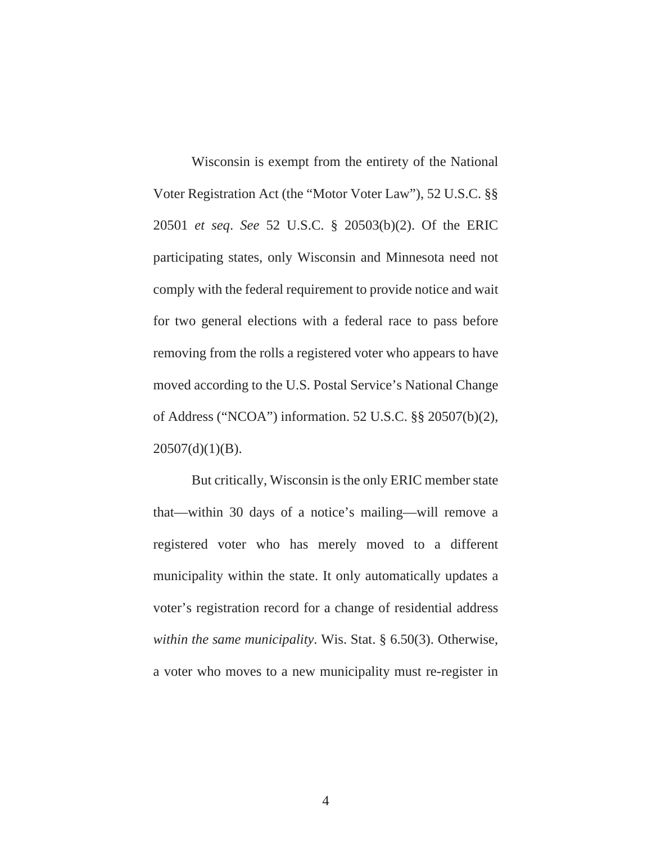Wisconsin is exempt from the entirety of the National Voter Registration Act (the "Motor Voter Law"), 52 U.S.C. §§ 20501 *et seq*. *See* 52 U.S.C. § 20503(b)(2). Of the ERIC participating states, only Wisconsin and Minnesota need not comply with the federal requirement to provide notice and wait for two general elections with a federal race to pass before removing from the rolls a registered voter who appears to have moved according to the U.S. Postal Service's National Change of Address ("NCOA") information. 52 U.S.C. §§ 20507(b)(2),  $20507(d)(1)(B)$ .

But critically, Wisconsin is the only ERIC member state that—within 30 days of a notice's mailing—will remove a registered voter who has merely moved to a different municipality within the state. It only automatically updates a voter's registration record for a change of residential address *within the same municipality*. Wis. Stat. § 6.50(3). Otherwise, a voter who moves to a new municipality must re-register in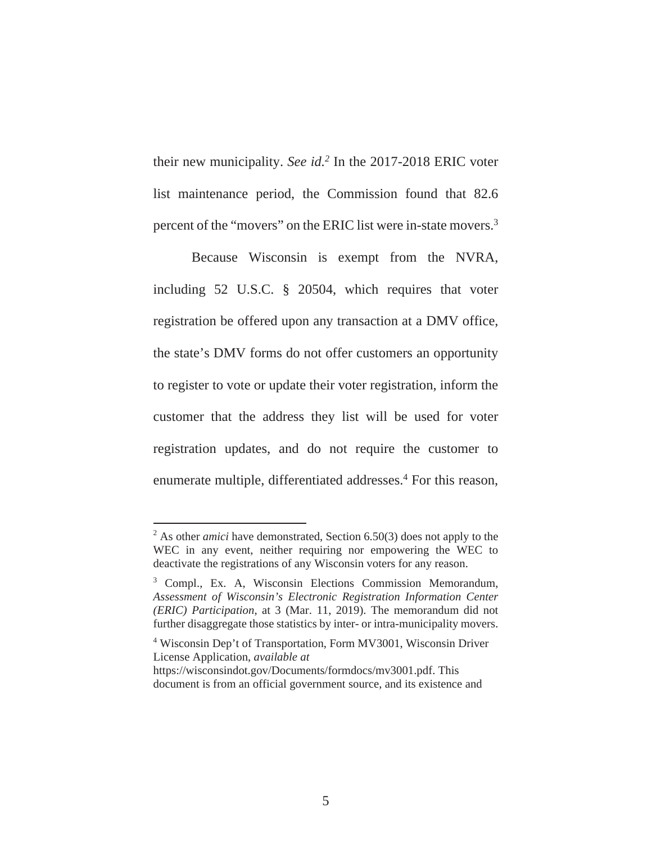their new municipality. *See id.2* In the 2017-2018 ERIC voter list maintenance period, the Commission found that 82.6 percent of the "movers" on the ERIC list were in-state movers.3

Because Wisconsin is exempt from the NVRA, including 52 U.S.C. § 20504, which requires that voter registration be offered upon any transaction at a DMV office, the state's DMV forms do not offer customers an opportunity to register to vote or update their voter registration, inform the customer that the address they list will be used for voter registration updates, and do not require the customer to enumerate multiple, differentiated addresses.<sup>4</sup> For this reason,

<sup>&</sup>lt;sup>2</sup> As other *amici* have demonstrated, Section 6.50(3) does not apply to the WEC in any event, neither requiring nor empowering the WEC to deactivate the registrations of any Wisconsin voters for any reason.

<sup>&</sup>lt;sup>3</sup> Compl., Ex. A, Wisconsin Elections Commission Memorandum, *Assessment of Wisconsin's Electronic Registration Information Center (ERIC) Participation*, at 3 (Mar. 11, 2019). The memorandum did not further disaggregate those statistics by inter- or intra-municipality movers.

<sup>&</sup>lt;sup>4</sup> Wisconsin Dep't of Transportation, Form MV3001, Wisconsin Driver License Application, *available at*

https://wisconsindot.gov/Documents/formdocs/mv3001.pdf. This document is from an official government source, and its existence and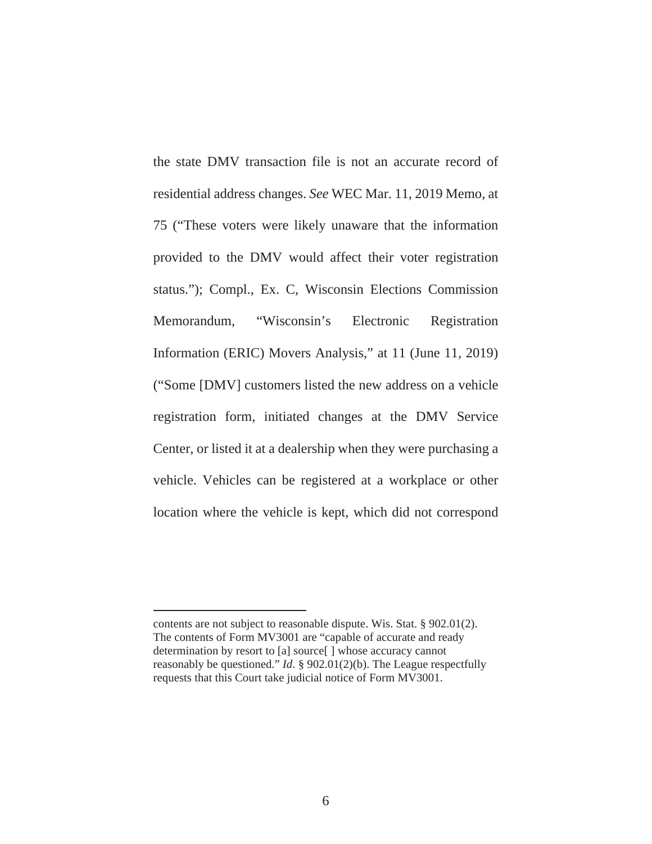the state DMV transaction file is not an accurate record of residential address changes. *See* WEC Mar. 11, 2019 Memo, at 75 ("These voters were likely unaware that the information provided to the DMV would affect their voter registration status."); Compl., Ex. C, Wisconsin Elections Commission Memorandum, "Wisconsin's Electronic Registration Information (ERIC) Movers Analysis," at 11 (June 11, 2019) ("Some [DMV] customers listed the new address on a vehicle registration form, initiated changes at the DMV Service Center, or listed it at a dealership when they were purchasing a vehicle. Vehicles can be registered at a workplace or other location where the vehicle is kept, which did not correspond

contents are not subject to reasonable dispute. Wis. Stat. § 902.01(2). The contents of Form MV3001 are "capable of accurate and ready determination by resort to [a] source[ ] whose accuracy cannot reasonably be questioned." *Id*. § 902.01(2)(b). The League respectfully requests that this Court take judicial notice of Form MV3001.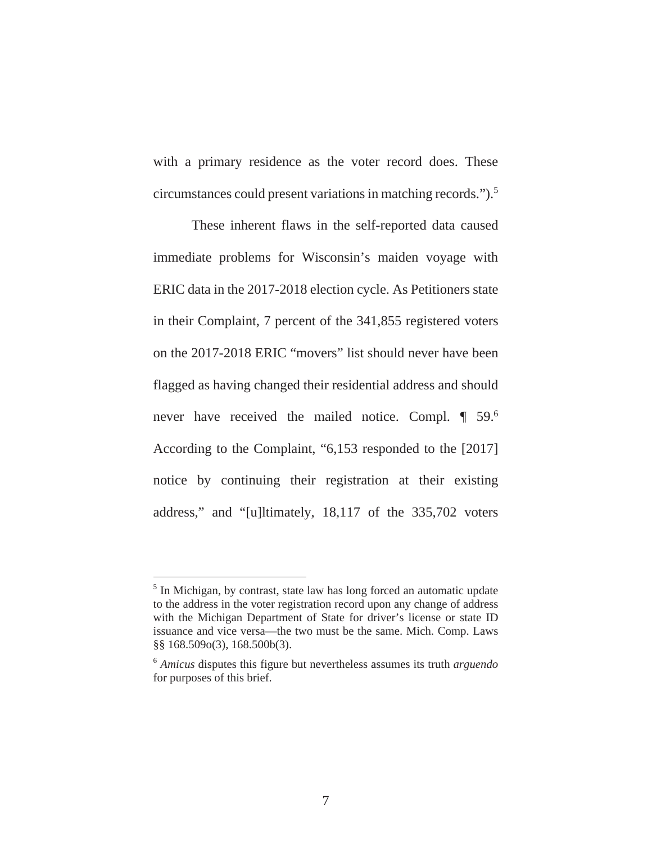with a primary residence as the voter record does. These circumstances could present variations in matching records.").5

These inherent flaws in the self-reported data caused immediate problems for Wisconsin's maiden voyage with ERIC data in the 2017-2018 election cycle. As Petitioners state in their Complaint, 7 percent of the 341,855 registered voters on the 2017-2018 ERIC "movers" list should never have been flagged as having changed their residential address and should never have received the mailed notice. Compl. ¶ 59.6 According to the Complaint, "6,153 responded to the [2017] notice by continuing their registration at their existing address," and "[u]ltimately, 18,117 of the 335,702 voters

<sup>&</sup>lt;sup>5</sup> In Michigan, by contrast, state law has long forced an automatic update to the address in the voter registration record upon any change of address with the Michigan Department of State for driver's license or state ID issuance and vice versa—the two must be the same. Mich. Comp. Laws §§ 168.509o(3), 168.500b(3).

<sup>6</sup> *Amicus* disputes this figure but nevertheless assumes its truth *arguendo* for purposes of this brief.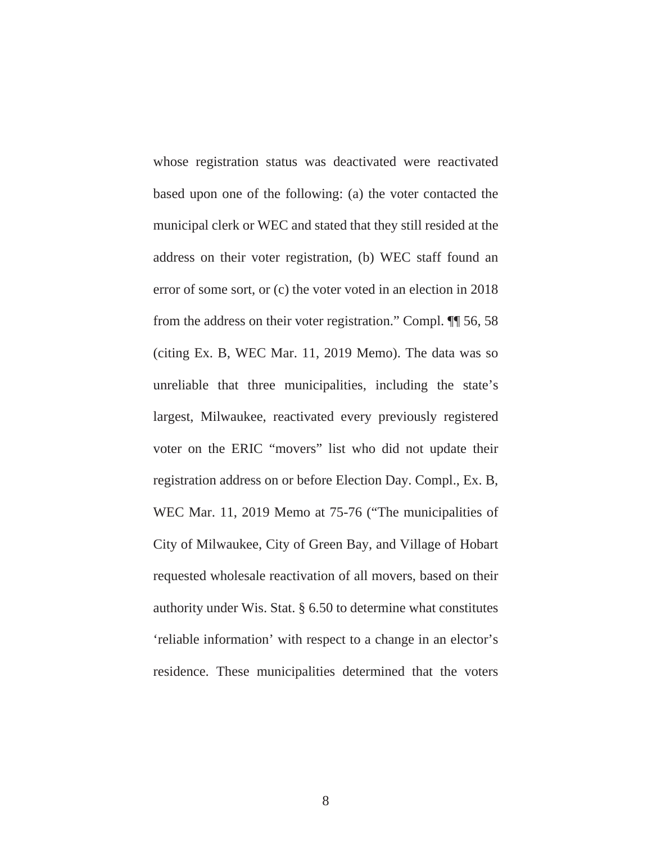whose registration status was deactivated were reactivated based upon one of the following: (a) the voter contacted the municipal clerk or WEC and stated that they still resided at the address on their voter registration, (b) WEC staff found an error of some sort, or (c) the voter voted in an election in 2018 from the address on their voter registration." Compl. ¶¶ 56, 58 (citing Ex. B, WEC Mar. 11, 2019 Memo). The data was so unreliable that three municipalities, including the state's largest, Milwaukee, reactivated every previously registered voter on the ERIC "movers" list who did not update their registration address on or before Election Day. Compl., Ex. B, WEC Mar. 11, 2019 Memo at 75-76 ("The municipalities of City of Milwaukee, City of Green Bay, and Village of Hobart requested wholesale reactivation of all movers, based on their authority under Wis. Stat. § 6.50 to determine what constitutes 'reliable information' with respect to a change in an elector's residence. These municipalities determined that the voters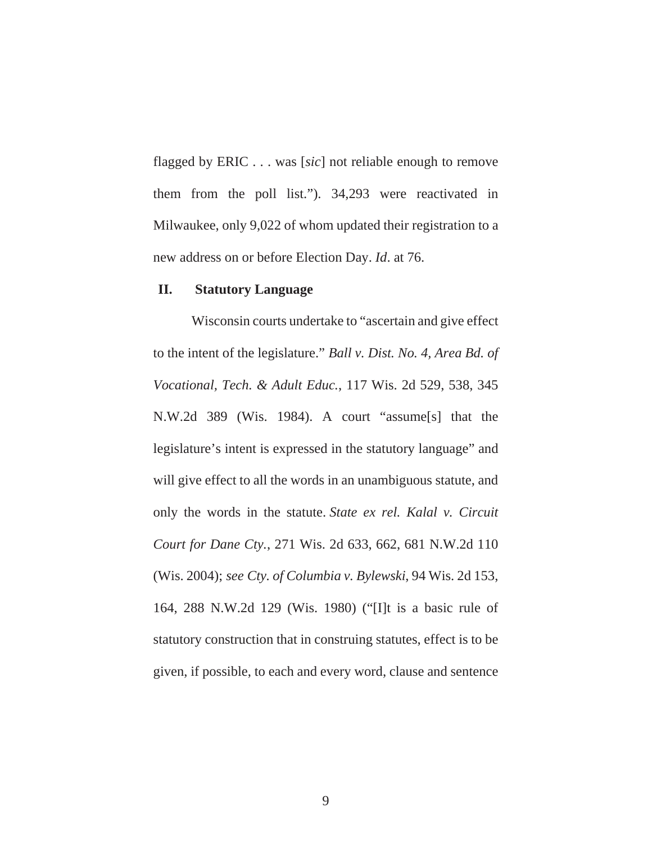flagged by ERIC . . . was [*sic*] not reliable enough to remove them from the poll list."). 34,293 were reactivated in Milwaukee, only 9,022 of whom updated their registration to a new address on or before Election Day. *Id*. at 76.

### **II. Statutory Language**

Wisconsin courts undertake to "ascertain and give effect to the intent of the legislature." *Ball v. Dist. No. 4, Area Bd. of Vocational, Tech. & Adult Educ.*, 117 Wis. 2d 529, 538, 345 N.W.2d 389 (Wis. 1984). A court "assume[s] that the legislature's intent is expressed in the statutory language" and will give effect to all the words in an unambiguous statute, and only the words in the statute. *State ex rel. Kalal v. Circuit Court for Dane Cty.*, 271 Wis. 2d 633, 662, 681 N.W.2d 110 (Wis. 2004); *see Cty. of Columbia v. Bylewski*, 94 Wis. 2d 153, 164, 288 N.W.2d 129 (Wis. 1980) ("[I]t is a basic rule of statutory construction that in construing statutes, effect is to be given, if possible, to each and every word, clause and sentence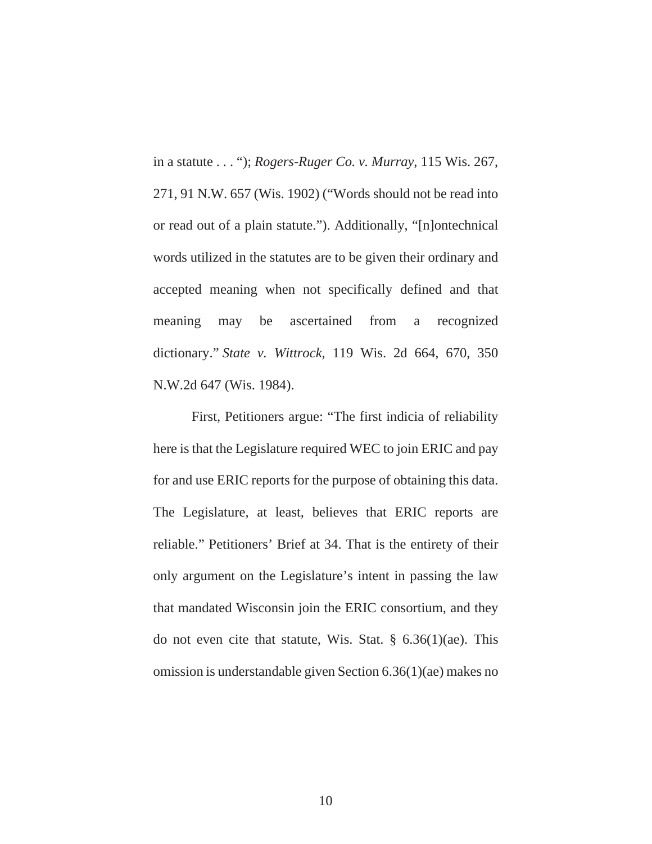in a statute . . . "); *Rogers-Ruger Co. v. Murray*, 115 Wis. 267, 271, 91 N.W. 657 (Wis. 1902) ("Words should not be read into or read out of a plain statute."). Additionally, "[n]ontechnical words utilized in the statutes are to be given their ordinary and accepted meaning when not specifically defined and that meaning may be ascertained from a recognized dictionary." *State v. Wittrock*, 119 Wis. 2d 664, 670, 350 N.W.2d 647 (Wis. 1984).

First, Petitioners argue: "The first indicia of reliability here is that the Legislature required WEC to join ERIC and pay for and use ERIC reports for the purpose of obtaining this data. The Legislature, at least, believes that ERIC reports are reliable." Petitioners' Brief at 34. That is the entirety of their only argument on the Legislature's intent in passing the law that mandated Wisconsin join the ERIC consortium, and they do not even cite that statute, Wis. Stat. § 6.36(1)(ae). This omission is understandable given Section 6.36(1)(ae) makes no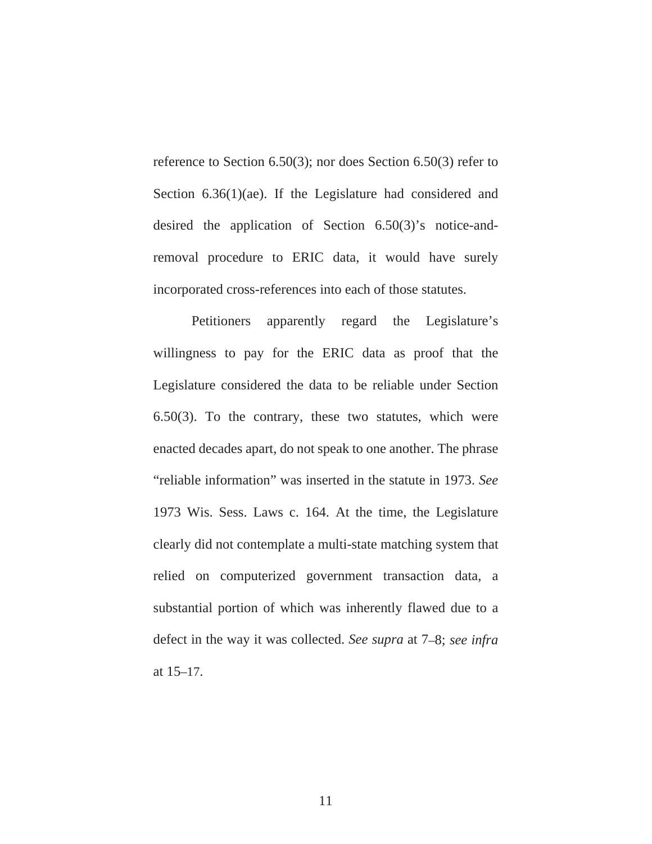reference to Section 6.50(3); nor does Section 6.50(3) refer to Section 6.36(1)(ae). If the Legislature had considered and desired the application of Section 6.50(3)'s notice-andremoval procedure to ERIC data, it would have surely incorporated cross-references into each of those statutes.

Petitioners apparently regard the Legislature's willingness to pay for the ERIC data as proof that the Legislature considered the data to be reliable under Section 6.50(3). To the contrary, these two statutes, which were enacted decades apart, do not speak to one another. The phrase "reliable information" was inserted in the statute in 1973. *See* 1973 Wis. Sess. Laws c. 164. At the time, the Legislature clearly did not contemplate a multi-state matching system that relied on computerized government transaction data, a substantial portion of which was inherently flawed due to a defect in the way it was collected. *See supra* at 7–8; *see infra*  at 15–17.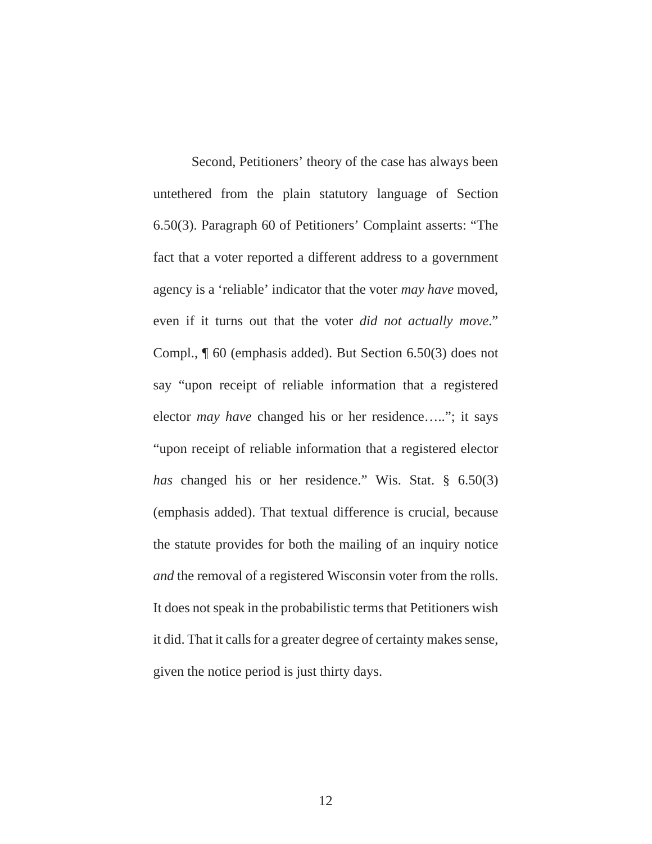Second, Petitioners' theory of the case has always been untethered from the plain statutory language of Section 6.50(3). Paragraph 60 of Petitioners' Complaint asserts: "The fact that a voter reported a different address to a government agency is a 'reliable' indicator that the voter *may have* moved, even if it turns out that the voter *did not actually move*." Compl., ¶ 60 (emphasis added). But Section 6.50(3) does not say "upon receipt of reliable information that a registered elector *may have* changed his or her residence….."; it says "upon receipt of reliable information that a registered elector *has* changed his or her residence." Wis. Stat. § 6.50(3) (emphasis added). That textual difference is crucial, because the statute provides for both the mailing of an inquiry notice *and* the removal of a registered Wisconsin voter from the rolls. It does not speak in the probabilistic terms that Petitioners wish it did. That it calls for a greater degree of certainty makes sense, given the notice period is just thirty days.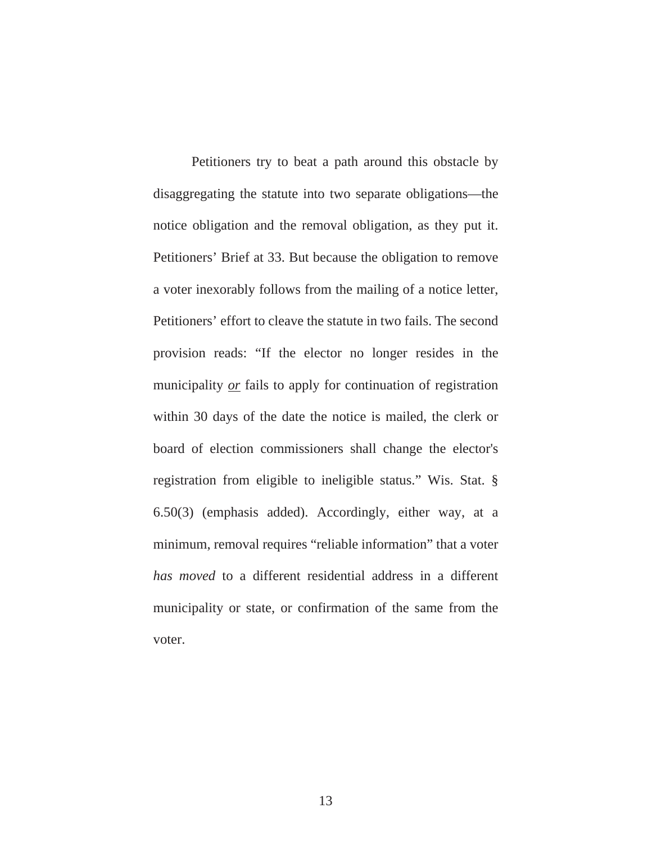Petitioners try to beat a path around this obstacle by disaggregating the statute into two separate obligations—the notice obligation and the removal obligation, as they put it. Petitioners' Brief at 33. But because the obligation to remove a voter inexorably follows from the mailing of a notice letter, Petitioners' effort to cleave the statute in two fails. The second provision reads: "If the elector no longer resides in the municipality *or* fails to apply for continuation of registration within 30 days of the date the notice is mailed, the clerk or board of election commissioners shall change the elector's registration from eligible to ineligible status." Wis. Stat. § 6.50(3) (emphasis added). Accordingly, either way, at a minimum, removal requires "reliable information" that a voter *has moved* to a different residential address in a different municipality or state, or confirmation of the same from the voter.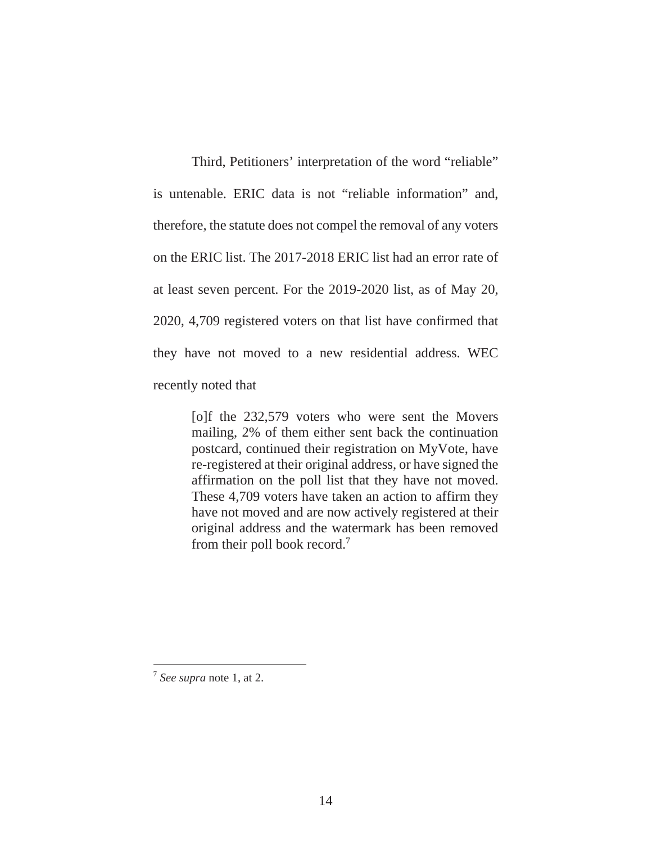Third, Petitioners' interpretation of the word "reliable" is untenable. ERIC data is not "reliable information" and, therefore, the statute does not compel the removal of any voters on the ERIC list. The 2017-2018 ERIC list had an error rate of at least seven percent. For the 2019-2020 list, as of May 20, 2020, 4,709 registered voters on that list have confirmed that they have not moved to a new residential address. WEC recently noted that

> [o]f the 232,579 voters who were sent the Movers mailing, 2% of them either sent back the continuation postcard, continued their registration on MyVote, have re-registered at their original address, or have signed the affirmation on the poll list that they have not moved. These 4,709 voters have taken an action to affirm they have not moved and are now actively registered at their original address and the watermark has been removed from their poll book record.7

<sup>7</sup>  *See supra* note 1, at 2.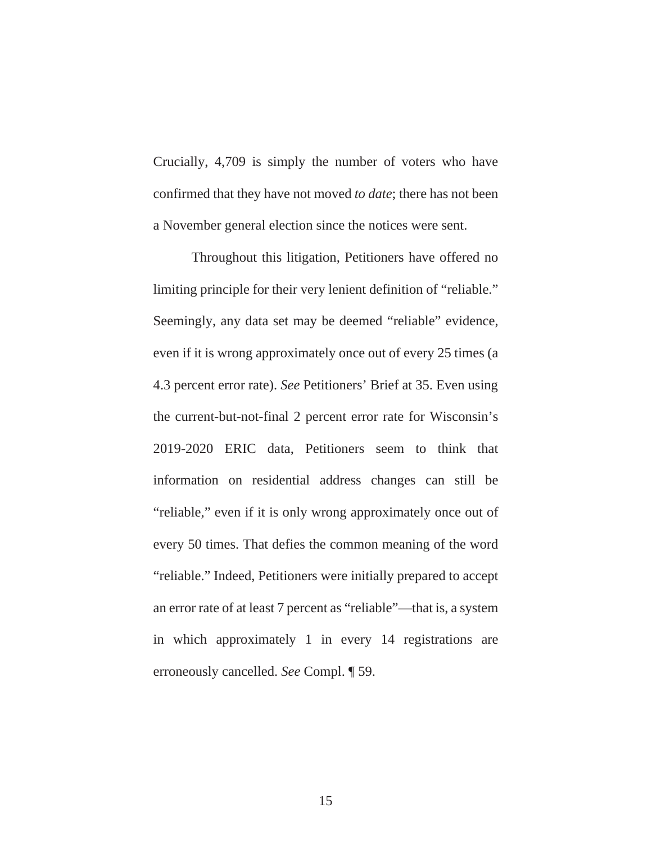Crucially, 4,709 is simply the number of voters who have confirmed that they have not moved *to date*; there has not been a November general election since the notices were sent.

Throughout this litigation, Petitioners have offered no limiting principle for their very lenient definition of "reliable." Seemingly, any data set may be deemed "reliable" evidence, even if it is wrong approximately once out of every 25 times (a 4.3 percent error rate). *See* Petitioners' Brief at 35. Even using the current-but-not-final 2 percent error rate for Wisconsin's 2019-2020 ERIC data, Petitioners seem to think that information on residential address changes can still be "reliable," even if it is only wrong approximately once out of every 50 times. That defies the common meaning of the word "reliable." Indeed, Petitioners were initially prepared to accept an error rate of at least 7 percent as "reliable"—that is, a system in which approximately 1 in every 14 registrations are erroneously cancelled. *See* Compl. ¶ 59.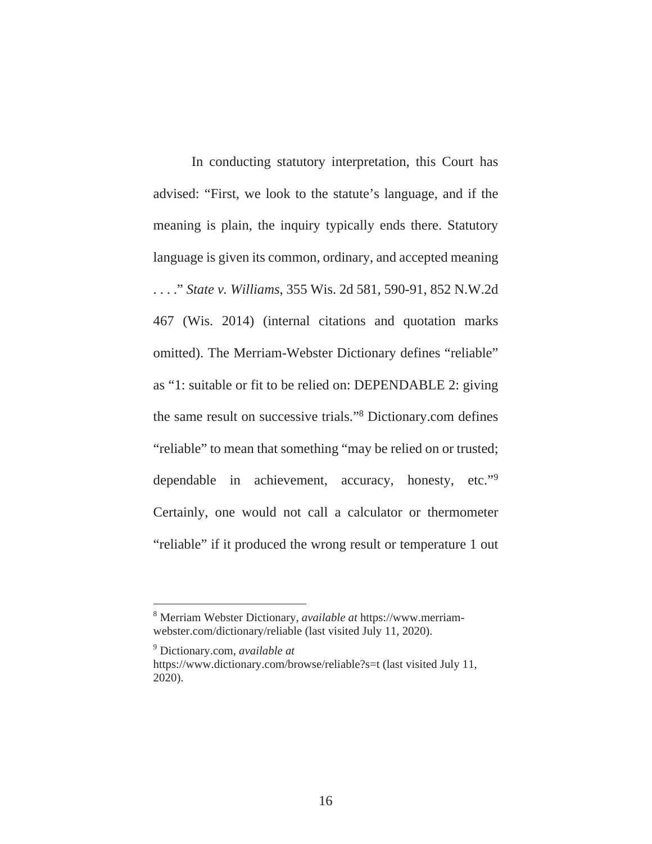In conducting statutory interpretation, this Court has advised: "First, we look to the statute's language, and if the meaning is plain, the inquiry typically ends there. Statutory language is given its common, ordinary, and accepted meaning . . . ." *State v. Williams*, 355 Wis. 2d 581, 590-91, 852 N.W.2d 467 (Wis. 2014) (internal citations and quotation marks omitted). The Merriam-Webster Dictionary defines "reliable" as "1: suitable or fit to be relied on: DEPENDABLE 2: giving the same result on successive trials."8 Dictionary.com defines "reliable" to mean that something "may be relied on or trusted; dependable in achievement, accuracy, honesty, etc."<sup>9</sup> Certainly, one would not call a calculator or thermometer "reliable" if it produced the wrong result or temperature 1 out

<sup>8</sup> Merriam Webster Dictionary, *available at* https://www.merriamwebster.com/dictionary/reliable (last visited July 11, 2020).

<sup>9</sup> Dictionary.com, *available at* 

https://www.dictionary.com/browse/reliable?s=t (last visited July 11, 2020).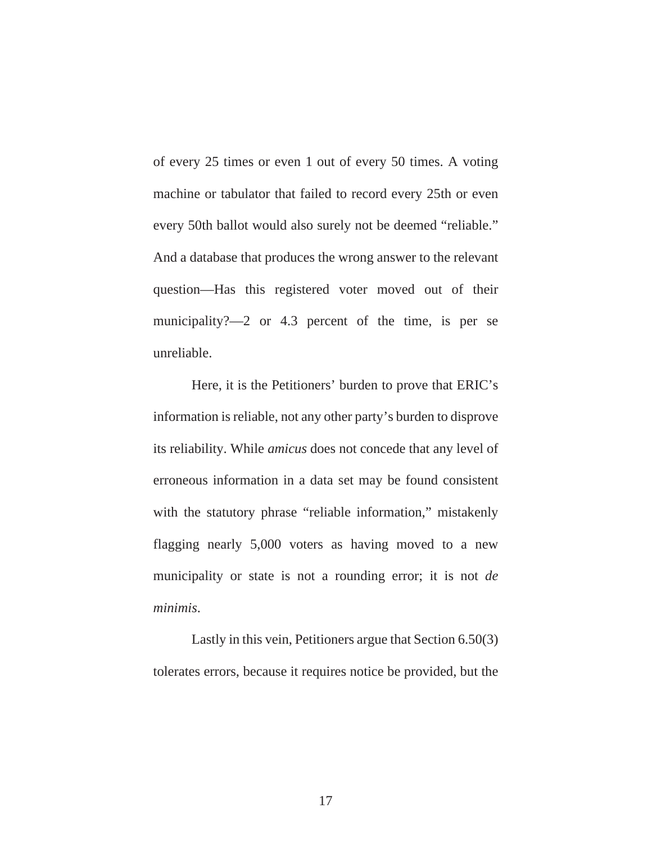of every 25 times or even 1 out of every 50 times. A voting machine or tabulator that failed to record every 25th or even every 50th ballot would also surely not be deemed "reliable." And a database that produces the wrong answer to the relevant question—Has this registered voter moved out of their municipality?—2 or 4.3 percent of the time, is per se unreliable.

Here, it is the Petitioners' burden to prove that ERIC's information is reliable, not any other party's burden to disprove its reliability. While *amicus* does not concede that any level of erroneous information in a data set may be found consistent with the statutory phrase "reliable information," mistakenly flagging nearly 5,000 voters as having moved to a new municipality or state is not a rounding error; it is not *de minimis*.

Lastly in this vein, Petitioners argue that Section 6.50(3) tolerates errors, because it requires notice be provided, but the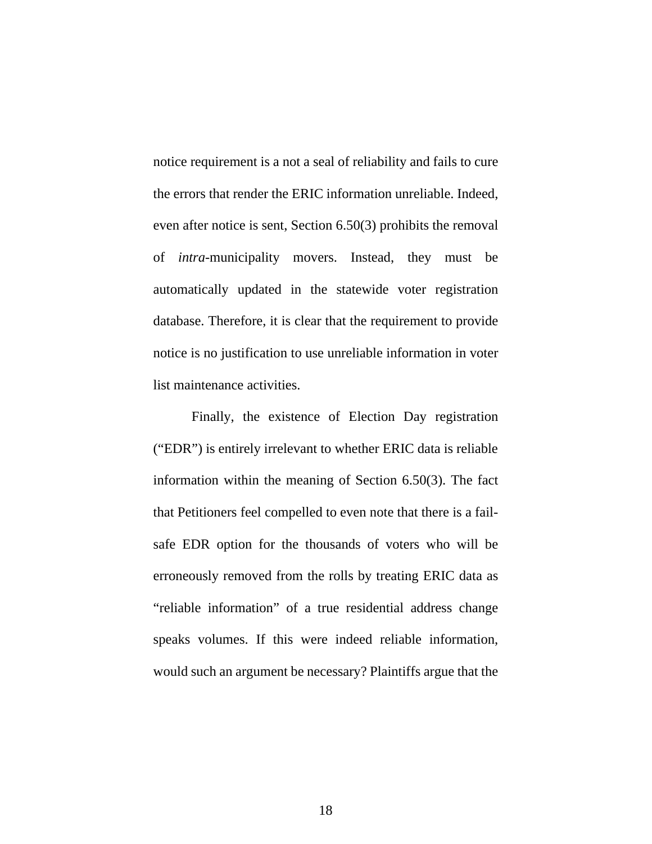notice requirement is a not a seal of reliability and fails to cure the errors that render the ERIC information unreliable. Indeed, even after notice is sent, Section 6.50(3) prohibits the removal of *intra-*municipality movers. Instead, they must be automatically updated in the statewide voter registration database. Therefore, it is clear that the requirement to provide notice is no justification to use unreliable information in voter list maintenance activities.

Finally, the existence of Election Day registration ("EDR") is entirely irrelevant to whether ERIC data is reliable information within the meaning of Section 6.50(3). The fact that Petitioners feel compelled to even note that there is a failsafe EDR option for the thousands of voters who will be erroneously removed from the rolls by treating ERIC data as "reliable information" of a true residential address change speaks volumes. If this were indeed reliable information, would such an argument be necessary? Plaintiffs argue that the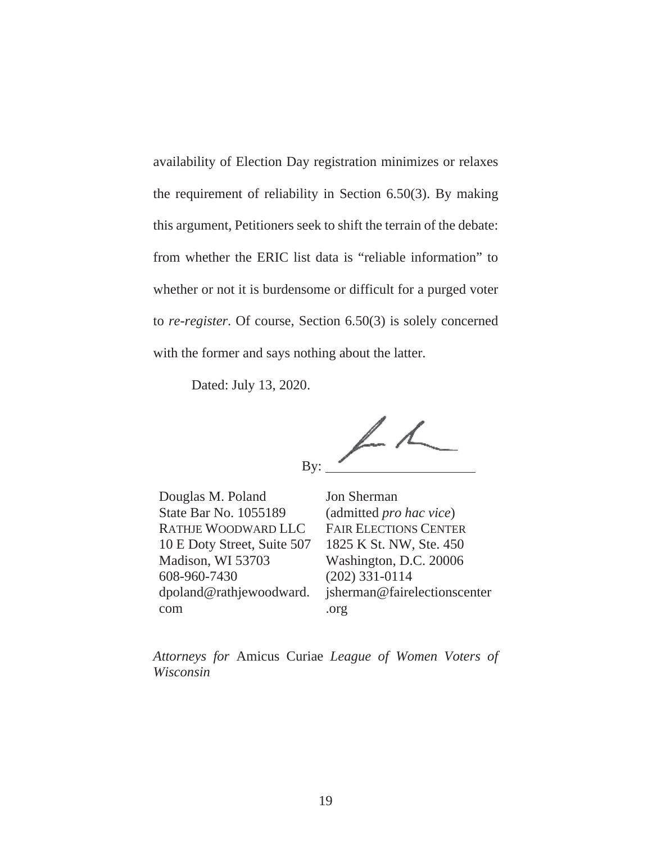availability of Election Day registration minimizes or relaxes the requirement of reliability in Section 6.50(3). By making this argument, Petitioners seek to shift the terrain of the debate: from whether the ERIC list data is "reliable information" to whether or not it is burdensome or difficult for a purged voter to *re-register*. Of course, Section 6.50(3) is solely concerned with the former and says nothing about the latter.

Dated: July 13, 2020.

 $\angle$ By:

Douglas M. Poland State Bar No. 1055189 RATHJE WOODWARD LLC 10 E Doty Street, Suite 507 Madison, WI 53703 608-960-7430 dpoland@rathjewoodward. com

Jon Sherman (admitted *pro hac vice*) FAIR ELECTIONS CENTER 1825 K St. NW, Ste. 450 Washington, D.C. 20006 (202) 331-0114 jsherman@fairelectionscenter .org

*Attorneys for* Amicus Curiae *League of Women Voters of Wisconsin*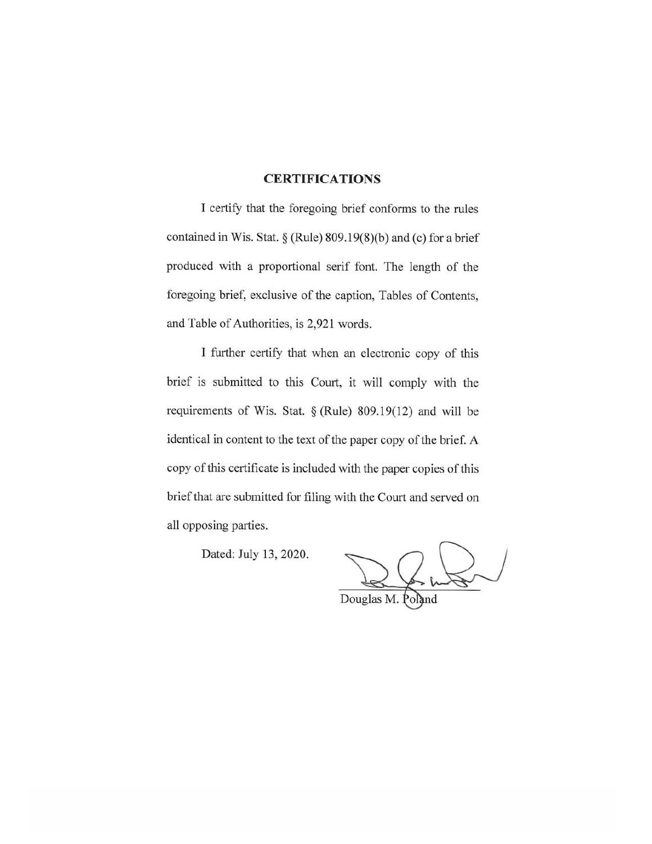### **CERTIFICATIONS**

I certify that the foregoing brief conforms to the rules contained in Wis. Stat.  $\S$  (Rule) 809.19(8)(b) and (c) for a brief produced with a proportional serif font. The length of the foregoing brief, exclusive of the caption, Tables of Contents, and Table of Authorities, is 2,921 words.

I further certify that when an electronic copy of this brief is submitted to this Court, it will comply with the requirements of Wis. Stat.  $\S$  (Rule) 809.19(12) and will be identical in content to the text of the paper copy of the brief. A copy of this certificate is included with the paper copies of this brief that are submitted for filing with the Court and served on all opposing parties.

Dated: July 13, 2020.

Douglas M. Poland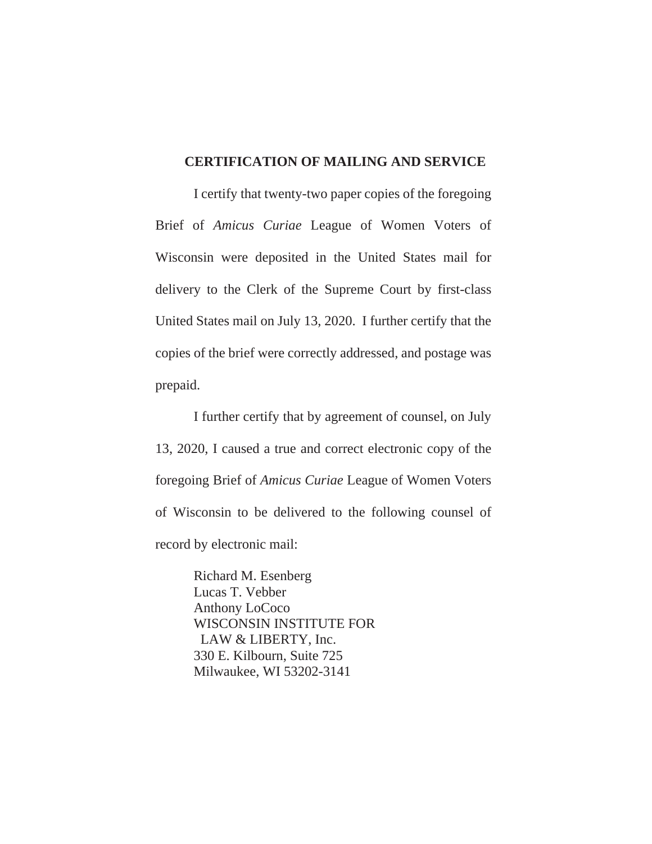### **CERTIFICATION OF MAILING AND SERVICE**

I certify that twenty-two paper copies of the foregoing Brief of *Amicus Curiae* League of Women Voters of Wisconsin were deposited in the United States mail for delivery to the Clerk of the Supreme Court by first-class United States mail on July 13, 2020. I further certify that the copies of the brief were correctly addressed, and postage was prepaid.

I further certify that by agreement of counsel, on July 13, 2020, I caused a true and correct electronic copy of the foregoing Brief of *Amicus Curiae* League of Women Voters of Wisconsin to be delivered to the following counsel of record by electronic mail:

> Richard M. Esenberg Lucas T. Vebber Anthony LoCoco WISCONSIN INSTITUTE FOR LAW & LIBERTY, Inc. 330 E. Kilbourn, Suite 725 Milwaukee, WI 53202-3141